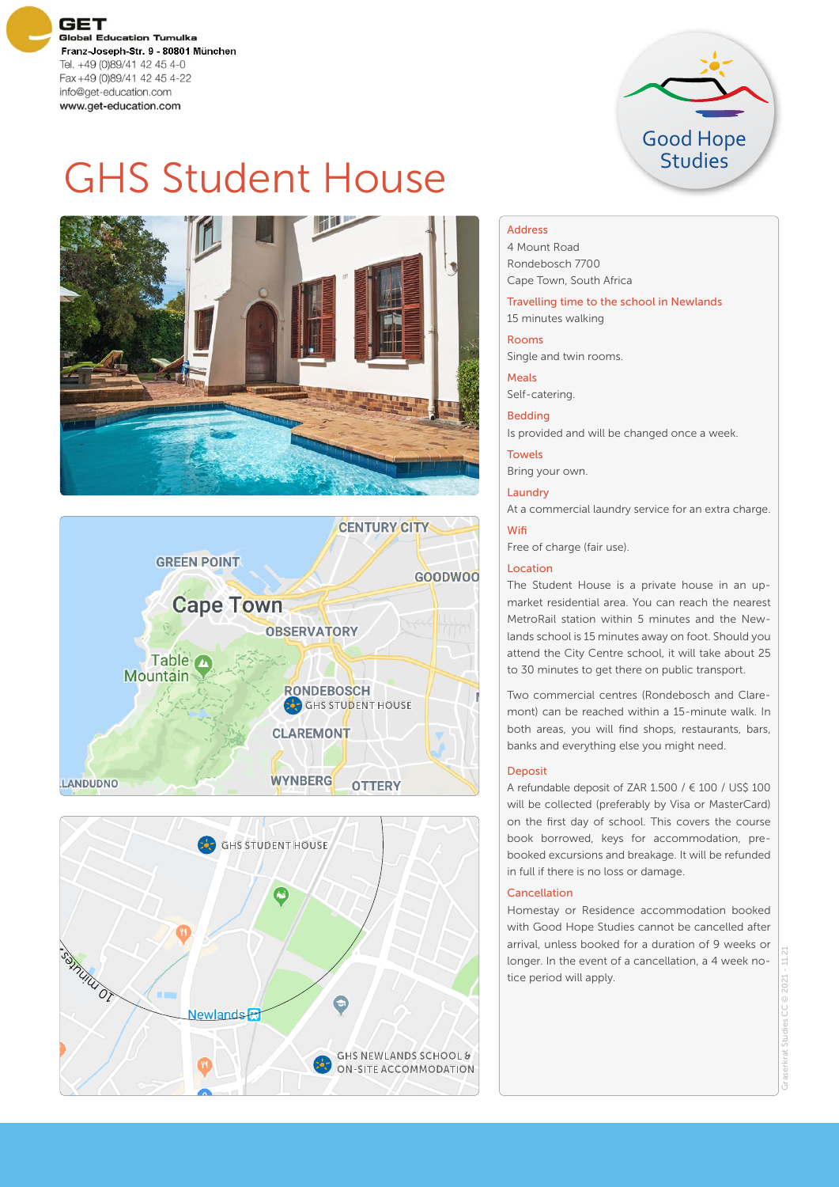



# GHS Student House







## Address

4 Mount Road Rondebosch 7700 Cape Town, South Africa

Travelling time to the school in Newlands 15 minutes walking

#### Rooms

Single and twin rooms.

Meals

Self-catering.

Bedding

Is provided and will be changed once a week.

Towels Bring your own.

**Laundry** 

At a commercial laundry service for an extra charge.

#### Wifi

Free of charge (fair use).

#### Location

The Student House is a private house in an upmarket residential area. You can reach the nearest MetroRail station within 5 minutes and the Newlands school is 15 minutes away on foot. Should you attend the City Centre school, it will take about 25 to 30 minutes to get there on public transport.

Two commercial centres (Rondebosch and Claremont) can be reached within a 15-minute walk. In both areas, you will find shops, restaurants, bars, banks and everything else you might need.

#### Deposit

A refundable deposit of ZAR 1.500 /  $\in$  100 / US\$ 100 will be collected (preferably by Visa or MasterCard) on the first day of school. This covers the course book borrowed, keys for accommodation, prebooked excursions and breakage. It will be refunded in full if there is no loss or damage.

#### Cancellation

Homestay or Residence accommodation booked with Good Hope Studies cannot be cancelled after arrival, unless booked for a duration of 9 weeks or longer. In the event of a cancellation, a 4 week notice period will apply.